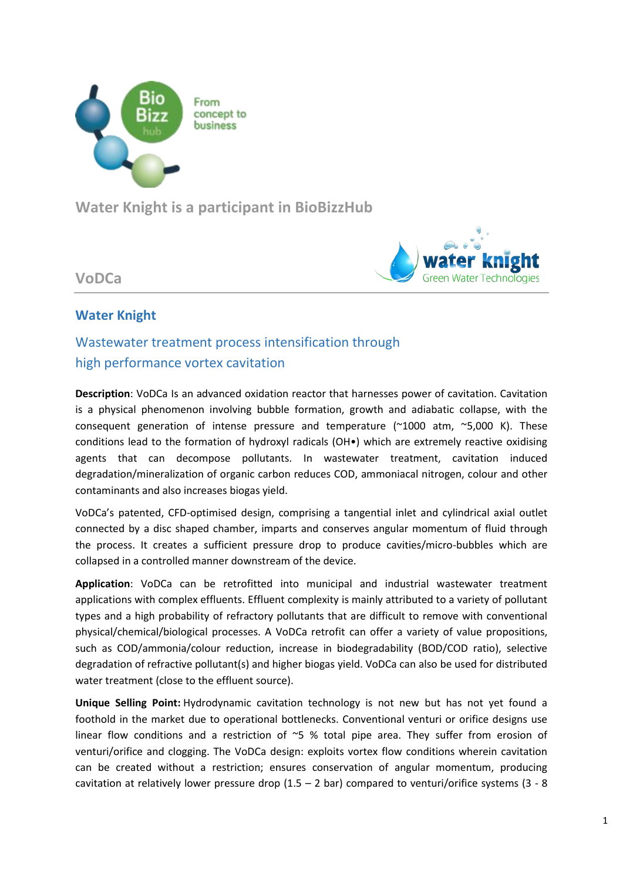

**Water Knight is a participant in BioBizzHub**



**VoDCa** 

## **Water Knight**

## Wastewater treatment process intensification through high performance vortex cavitation

**Description**: VoDCa Is an advanced oxidation reactor that harnesses power of cavitation. Cavitation is a physical phenomenon involving bubble formation, growth and adiabatic collapse, with the consequent generation of intense pressure and temperature  $(^{2}1000$  atm,  $^{\sim}5,000$  K). These conditions lead to the formation of hydroxyl radicals (OH•) which are extremely reactive oxidising agents that can decompose pollutants. In wastewater treatment, cavitation induced degradation/mineralization of organic carbon reduces COD, ammoniacal nitrogen, colour and other contaminants and also increases biogas yield.

VoDCa's patented, CFD-optimised design, comprising a tangential inlet and cylindrical axial outlet connected by a disc shaped chamber, imparts and conserves angular momentum of fluid through the process. It creates a sufficient pressure drop to produce cavities/micro-bubbles which are collapsed in a controlled manner downstream of the device.

**Application**: VoDCa can be retrofitted into municipal and industrial wastewater treatment applications with complex effluents. Effluent complexity is mainly attributed to a variety of pollutant types and a high probability of refractory pollutants that are difficult to remove with conventional physical/chemical/biological processes. A VoDCa retrofit can offer a variety of value propositions, such as COD/ammonia/colour reduction, increase in biodegradability (BOD/COD ratio), selective degradation of refractive pollutant(s) and higher biogas yield. VoDCa can also be used for distributed water treatment (close to the effluent source).

**Unique Selling Point:** Hydrodynamic cavitation technology is not new but has not yet found a foothold in the market due to operational bottlenecks. Conventional venturi or orifice designs use linear flow conditions and a restriction of ~5 % total pipe area. They suffer from erosion of venturi/orifice and clogging. The VoDCa design: exploits vortex flow conditions wherein cavitation can be created without a restriction; ensures conservation of angular momentum, producing cavitation at relatively lower pressure drop  $(1.5 - 2 \text{ bar})$  compared to venturi/orifice systems  $(3 - 8 \text{ bar})$